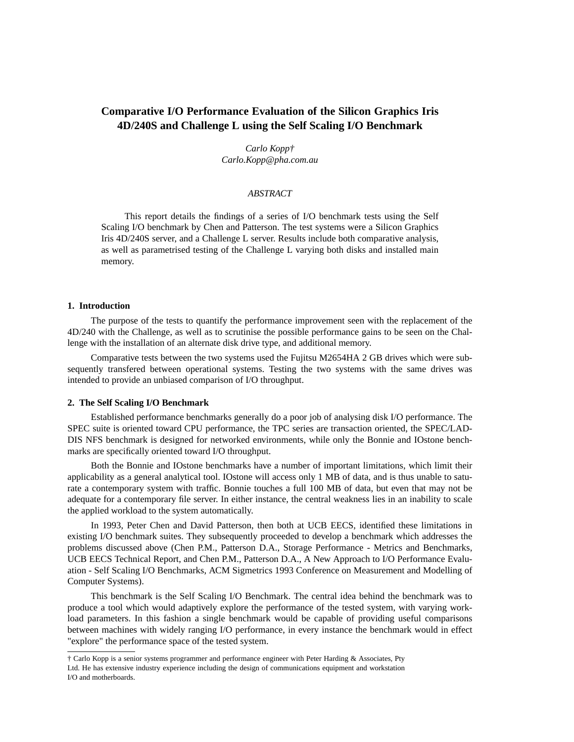# **Comparative I/O Performance Evaluation of the Silicon Graphics Iris 4D/240S and Challenge L using the Self Scaling I/O Benchmark**

*Carlo Kopp† Carlo.Kopp@pha.com.au*

# *ABSTRACT*

This report details the findings of a series of I/O benchmark tests using the Self Scaling I/O benchmark by Chen and Patterson. The test systems were a Silicon Graphics Iris 4D/240S server, and a Challenge L server. Results include both comparative analysis, as well as parametrised testing of the Challenge L varying both disks and installed main memory.

#### **1. Introduction**

The purpose of the tests to quantify the performance improvement seen with the replacement of the 4D/240 with the Challenge, as well as to scrutinise the possible performance gains to be seen on the Challenge with the installation of an alternate disk drive type, and additional memory.

Comparative tests between the two systems used the Fujitsu M2654HA 2 GB drives which were subsequently transfered between operational systems. Testing the two systems with the same drives was intended to provide an unbiased comparison of I/O throughput.

#### **2. The Self Scaling I/O Benchmark**

Established performance benchmarks generally do a poor job of analysing disk I/O performance. The SPEC suite is oriented toward CPU performance, the TPC series are transaction oriented, the SPEC/LAD-DIS NFS benchmark is designed for networked environments, while only the Bonnie and IOstone benchmarks are specifically oriented toward I/O throughput.

Both the Bonnie and IOstone benchmarks have a number of important limitations, which limit their applicability as a general analytical tool. IOstone will access only 1 MB of data, and is thus unable to saturate a contemporary system with traffic. Bonnie touches a full 100 MB of data, but even that may not be adequate for a contemporary file server. In either instance, the central weakness lies in an inability to scale the applied workload to the system automatically.

In 1993, Peter Chen and David Patterson, then both at UCB EECS, identified these limitations in existing I/O benchmark suites. They subsequently proceeded to develop a benchmark which addresses the problems discussed above (Chen P.M., Patterson D.A., Storage Performance - Metrics and Benchmarks, UCB EECS Technical Report, and Chen P.M., Patterson D.A., A New Approach to I/O Performance Evaluation - Self Scaling I/O Benchmarks, ACM Sigmetrics 1993 Conference on Measurement and Modelling of Computer Systems).

This benchmark is the Self Scaling I/O Benchmark. The central idea behind the benchmark was to produce a tool which would adaptively explore the performance of the tested system, with varying workload parameters. In this fashion a single benchmark would be capable of providing useful comparisons between machines with widely ranging I/O performance, in every instance the benchmark would in effect "explore" the performance space of the tested system.

<sup>†</sup> Carlo Kopp is a senior systems programmer and performance engineer with Peter Harding & Associates, Pty Ltd. He has extensive industry experience including the design of communications equipment and workstation I/O and motherboards.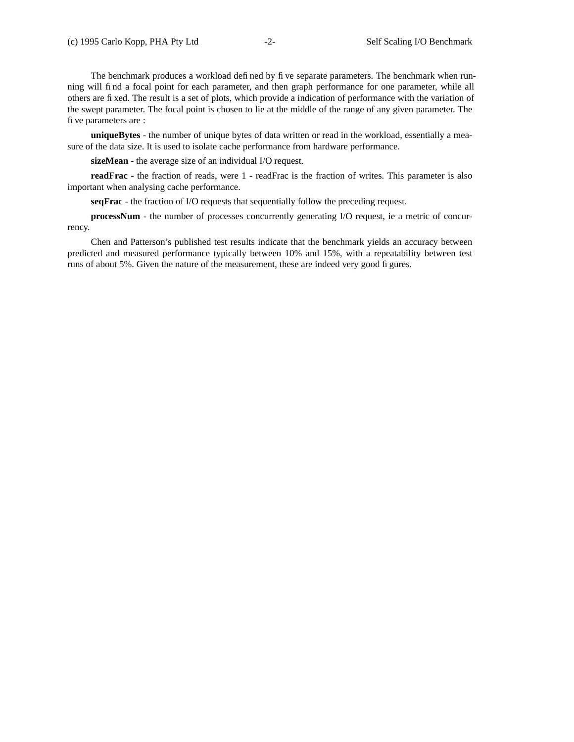The benchmark produces a workload defined by five separate parameters. The benchmark when running will find a focal point for each parameter, and then graph performance for one parameter, while all others are fixed. The result is a set of plots, which provide a indication of performance with the variation of the swept parameter. The focal point is chosen to lie at the middle of the range of any given parameter. The five parameters are :

**uniqueBytes** - the number of unique bytes of data written or read in the workload, essentially a measure of the data size. It is used to isolate cache performance from hardware performance.

**sizeMean** - the average size of an individual I/O request.

**readFrac** - the fraction of reads, were 1 - readFrac is the fraction of writes. This parameter is also important when analysing cache performance.

**seqFrac** - the fraction of I/O requests that sequentially follow the preceding request.

**processNum** - the number of processes concurrently generating I/O request, ie a metric of concurrency.

Chen and Patterson's published test results indicate that the benchmark yields an accuracy between predicted and measured performance typically between 10% and 15%, with a repeatability between test runs of about 5%. Given the nature of the measurement, these are indeed very good figures.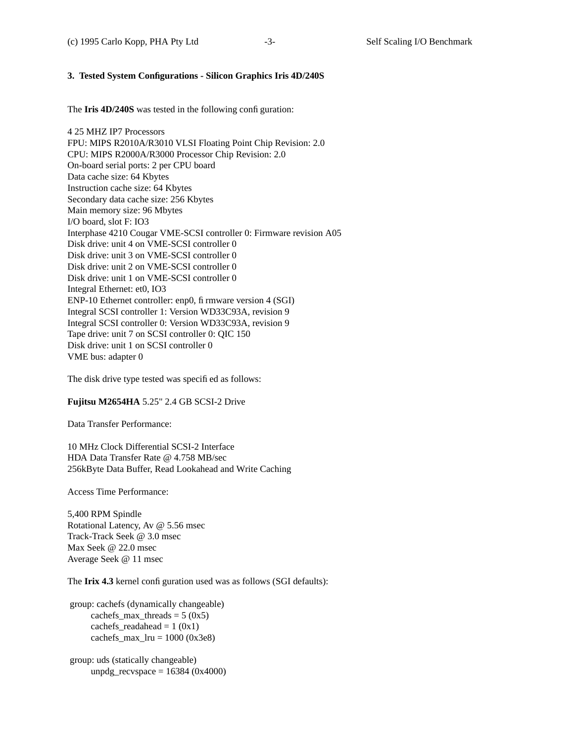# **3. Tested System Configurations - Silicon Graphics Iris 4D/240S**

The **Iris 4D/240S** was tested in the following configuration:

4 25 MHZ IP7 Processors FPU: MIPS R2010A/R3010 VLSI Floating Point Chip Revision: 2.0 CPU: MIPS R2000A/R3000 Processor Chip Revision: 2.0 On-board serial ports: 2 per CPU board Data cache size: 64 Kbytes Instruction cache size: 64 Kbytes Secondary data cache size: 256 Kbytes Main memory size: 96 Mbytes I/O board, slot F: IO3 Interphase 4210 Cougar VME-SCSI controller 0: Firmware revision A05 Disk drive: unit 4 on VME-SCSI controller 0 Disk drive: unit 3 on VME-SCSI controller 0 Disk drive: unit 2 on VME-SCSI controller 0 Disk drive: unit 1 on VME-SCSI controller 0 Integral Ethernet: et0, IO3 ENP-10 Ethernet controller: enp0, firmware version 4 (SGI) Integral SCSI controller 1: Version WD33C93A, revision 9 Integral SCSI controller 0: Version WD33C93A, revision 9 Tape drive: unit 7 on SCSI controller 0: QIC 150 Disk drive: unit 1 on SCSI controller 0 VME bus: adapter 0

The disk drive type tested was specified as follows:

# **Fujitsu M2654HA** 5.25" 2.4 GB SCSI-2 Drive

Data Transfer Performance:

10 MHz Clock Differential SCSI-2 Interface HDA Data Transfer Rate @ 4.758 MB/sec 256kByte Data Buffer, Read Lookahead and Write Caching

Access Time Performance:

5,400 RPM Spindle Rotational Latency, Av @ 5.56 msec Track-Track Seek @ 3.0 msec Max Seek @ 22.0 msec Average Seek @ 11 msec

The Irix 4.3 kernel configuration used was as follows (SGI defaults):

group: cachefs (dynamically changeable) cachefs max threads =  $5 (0x5)$ cachefs\_readahead =  $1 (0x1)$  $cachefs_max_lru = 1000 (0x3e8)$ 

group: uds (statically changeable) unpdg\_recvspace =  $16384 (0x4000)$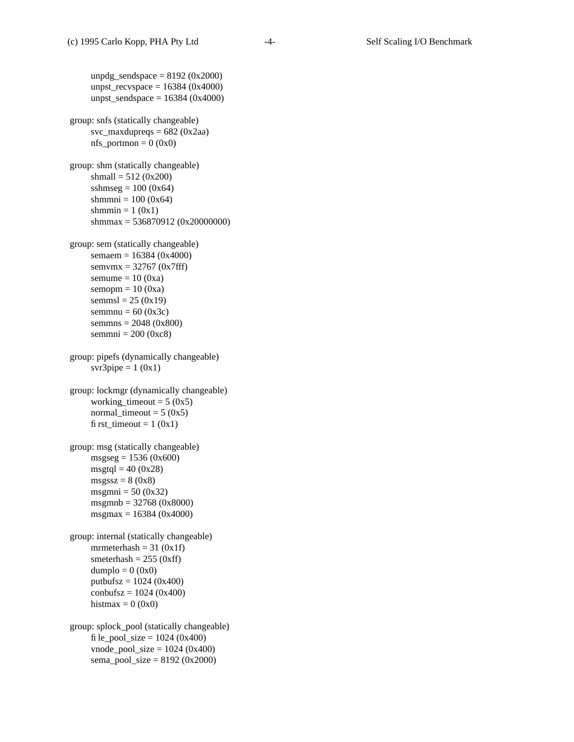unpdg\_sendspace  $= 8192$  (0x2000) unpst\_recvspace =  $16384 (0x4000)$ unpst\_sendspace = 16384 (0x4000) group: snfs (statically changeable) svc\_maxdupreqs =  $682$  (0x2aa)  $nfs\_portmon = 0 (0x0)$ group: shm (statically changeable) shmall = 512 (0x200) sshmseg =  $100 (0x64)$ shmmni =  $100 (0x64)$ shmmin =  $1(0x1)$ shmmax = 536870912 (0x20000000) group: sem (statically changeable) semaem = 16384 (0x4000) semvmx = 32767 (0x7fff) semume  $= 10 (0xa)$  $semopm = 10 (0xa)$ semmsl =  $25 (0x19)$ semmnu =  $60 (0x3c)$ semmns = 2048 (0x800) semmni =  $200 (0xc8)$ group: pipefs (dynamically changeable) svr $3$ pipe = 1 (0x1) group: lockmgr (dynamically changeable) working\_timeout =  $5 (0x5)$ normal\_timeout =  $5 (0x5)$ first\_timeout =  $1 (0x1)$ group: msg (statically changeable) msgseg=1536 (0x600)  $msgtql = 40 (0x28)$  $msgssz = 8(0x8)$ msgmni  $= 50 (0x32)$ msgmnb = 32768 (0x8000) msgmax = 16384 (0x4000) group: internal (statically changeable) mrmeterhash =  $31 (0x1f)$ smeterhash  $= 255$  (0xff)  $dumplo = 0 (0x0)$ putbufsz = 1024 (0x400)  $\text{combufsz} = 1024 \, (0x400)$ histmax =  $0(0x0)$ group: splock\_pool (statically changeable) file\_pool\_size =  $1024 (0x400)$  $vnode\_pool\_size = 1024 (0x400)$ sema\_pool\_size =  $8192 (0x2000)$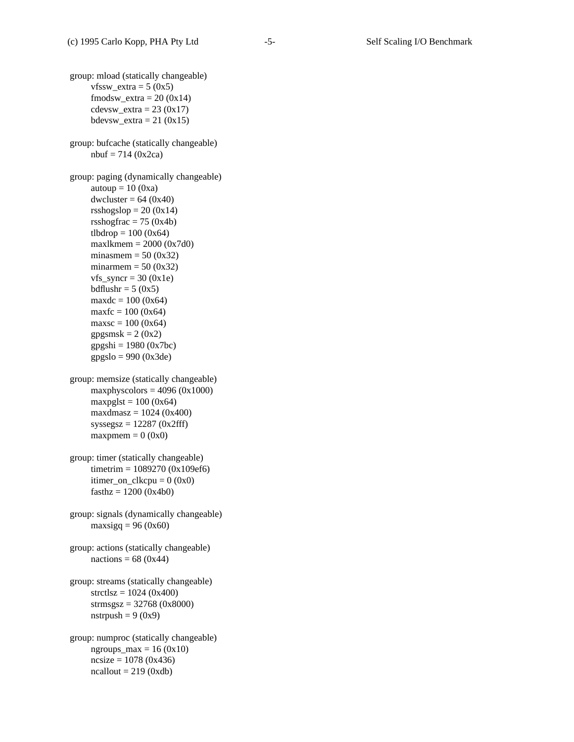group: mload (statically changeable)  $vfssw\_extra = 5 (0x5)$  $f$ modsw\_extra = 20 (0x14)  $cdevsw\_extra = 23 (0x17)$ bdevsw  $extra = 21 (0x15)$ group: bufcache (statically changeable)  $n \cdot 714 (0x^2 \cdot c^2)$ group: paging (dynamically changeable) autoup  $= 10 (0xa)$ dwcluster =  $64 (0x40)$ rsshogslop =  $20(0x14)$ rsshogfrac  $= 75 (0x4b)$ tlbdrop =  $100 (0x64)$ maxlkmem =  $2000 (0x7d0)$ minasmem  $= 50 (0x32)$ minarmem  $= 50 (0x32)$  $vfs\_syncr = 30 (0x1e)$ bdflushr =  $5(0x5)$  $maxdc = 100 (0x64)$  $maxfc = 100 (0x64)$  $maxsc = 100 (0x64)$ gpgsmsk =  $2(0x2)$  $gpgshi = 1980 (0x7bc)$ gpgslo = 990 (0x3de) group: memsize (statically changeable) maxphyscolors =  $4096 (0x1000)$  $maxpglst = 100 (0x64)$  $maxd$ maxdmasz = 1024 (0x400)  $syssegsz = 12287 (0x2fff)$  $maxpmem = 0 (0x0)$ group: timer (statically changeable) timetrim = 1089270 (0x109ef6) itimer\_on\_clkcpu =  $0 (0x0)$  $fasthz = 1200 (0x4b0)$ group: signals (dynamically changeable) maxsigq =  $96 (0x60)$ group: actions (statically changeable) nactions =  $68 (0x44)$ group: streams (statically changeable)  $stretlsz = 1024 (0x400)$ strmsgsz = 32768 (0x8000) nstrpush =  $9(0x9)$ group: numproc (statically changeable)  $ngroups_max = 16 (0x10)$  $ncsize = 1078 (0x436)$  $\text{ncallout} = 219 \text{ (0xdb)}$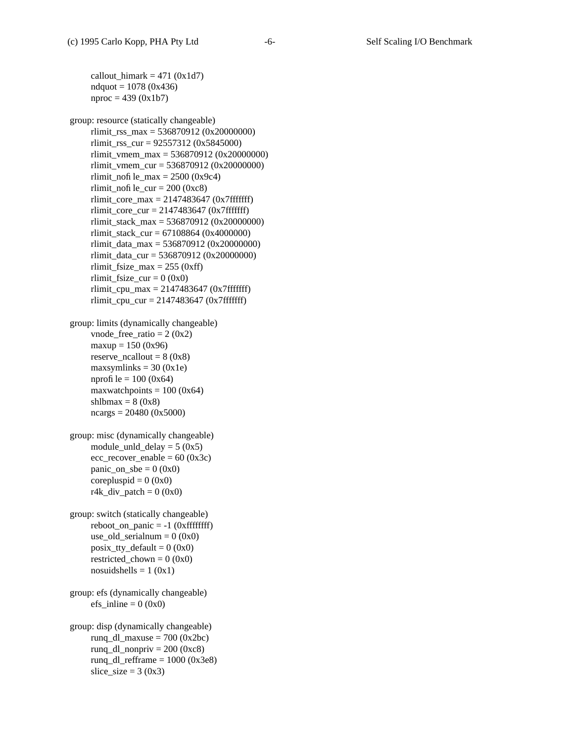```
callout_himark = 471 (0x1d7)ndquot = 1078 (0x436)nproc = 439 (0x1b7)
```
group: resource (statically changeable) rlimit\_rss\_max = 536870912 (0x20000000) rlimit\_rss\_cur = 92557312 (0x5845000) rlimit\_vmem\_max = 536870912 (0x20000000) rlimit\_vmem\_cur =  $536870912$  (0x20000000) rlimit\_nofile\_max =  $2500$  (0x9c4) rlimit\_nofile\_cur =  $200$  (0xc8) rlimit\_core\_max =  $2147483647$  (0x7fffffff) rlimit\_core\_cur =  $2147483647$  (0x7fffffff) rlimit\_stack\_max = 536870912 (0x20000000) rlimit\_stack\_cur = 67108864 (0x4000000) rlimit data max = 536870912 (0x20000000) rlimit\_data\_cur = 536870912 (0x20000000) rlimit fsize  $max = 255 (0xff)$ rlimit\_fsize\_cur =  $0$  (0x0) rlimit\_cpu\_max =  $2147483647$  (0x7fffffff) rlimit\_cpu\_cur =  $2147483647$  (0x7fffffff)

group: limits (dynamically changeable) vnode\_free\_ratio =  $2 (0x2)$  $maxup = 150 (0x96)$ reserve\_ncallout =  $8 (0x8)$ maxsymlinks  $= 30 (0x1e)$ nprofile =  $100 (0x64)$ maxwatchpoints  $= 100 (0x64)$ shlbmax =  $8(0x8)$ ncargs = 20480 (0x5000)

```
group: misc (dynamically changeable)
     module_unld_delay = 5 (0x5)ecc\_recover\_enable = 60 (0x3c)panic\_on\_sbe = 0 (0x0)
     corepluspid = 0 (0x0)
     r4k div patch = 0 (0x0)
```
group: switch (statically changeable)  $reboot\_on\_panic = -1$  (0xfffffffff) use\_old\_serialnum =  $0 (0x0)$  $posix_tty_default = 0 (0x0)$ restricted\_chown =  $0 (0x0)$ nosuidshells =  $1(0x1)$ 

```
group: efs (dynamically changeable)
     efs inline = 0 (0x0)
```
group: disp (dynamically changeable) runq\_dl\_maxuse =  $700 (0x2bc)$ runq\_dl\_nonpriv =  $200 (0xc8)$ rung dl refframe  $= 1000$  (0x3e8) slice\_size =  $3 (0x3)$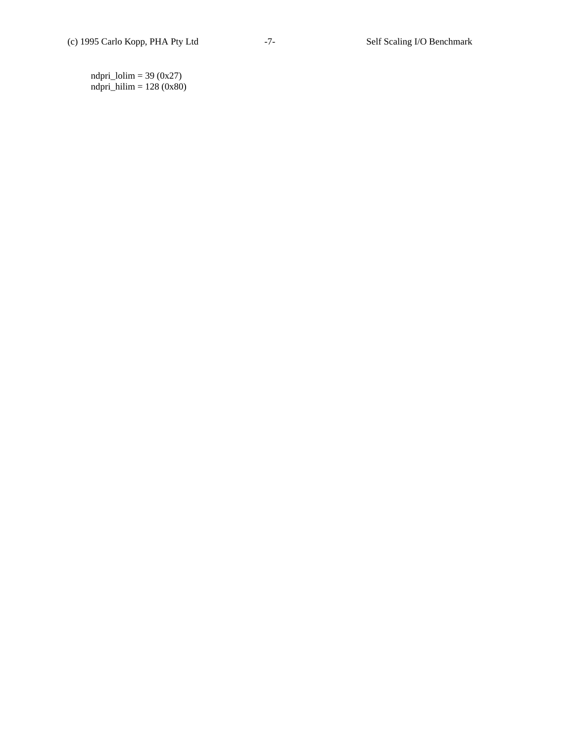ndpri\_lolim =  $39 (0x27)$ ndpri\_hilim = 128 (0x80)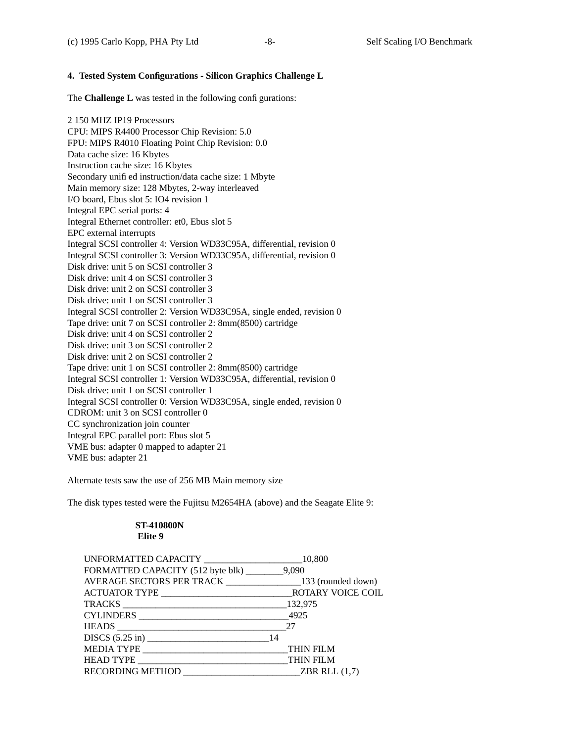# **4. Tested System Configurations - Silicon Graphics Challenge L**

The **Challenge L** was tested in the following configurations:

2 150 MHZ IP19 Processors CPU: MIPS R4400 Processor Chip Revision: 5.0 FPU: MIPS R4010 Floating Point Chip Revision: 0.0 Data cache size: 16 Kbytes Instruction cache size: 16 Kbytes Secondary unified instruction/data cache size: 1 Mbyte Main memory size: 128 Mbytes, 2-way interleaved I/O board, Ebus slot 5: IO4 revision 1 Integral EPC serial ports: 4 Integral Ethernet controller: et0, Ebus slot 5 EPC external interrupts Integral SCSI controller 4: Version WD33C95A, differential, revision 0 Integral SCSI controller 3: Version WD33C95A, differential, revision 0 Disk drive: unit 5 on SCSI controller 3 Disk drive: unit 4 on SCSI controller 3 Disk drive: unit 2 on SCSI controller 3 Disk drive: unit 1 on SCSI controller 3 Integral SCSI controller 2: Version WD33C95A, single ended, revision 0 Tape drive: unit 7 on SCSI controller 2: 8mm(8500) cartridge Disk drive: unit 4 on SCSI controller 2 Disk drive: unit 3 on SCSI controller 2 Disk drive: unit 2 on SCSI controller 2 Tape drive: unit 1 on SCSI controller 2: 8mm(8500) cartridge Integral SCSI controller 1: Version WD33C95A, differential, revision 0 Disk drive: unit 1 on SCSI controller 1 Integral SCSI controller 0: Version WD33C95A, single ended, revision 0 CDROM: unit 3 on SCSI controller 0 CC synchronization join counter Integral EPC parallel port: Ebus slot 5 VME bus: adapter 0 mapped to adapter 21 VME bus: adapter 21

Alternate tests saw the use of 256 MB Main memory size

The disk types tested were the Fujitsu M2654HA (above) and the Seagate Elite 9:

# **ST-410800N Elite 9**

| UNFORMATTED CAPACITY _________________________10,800               |              |
|--------------------------------------------------------------------|--------------|
| FORMATTED CAPACITY (512 byte blk) _________9,090                   |              |
| AVERAGE SECTORS PER TRACK ______________________133 (rounded down) |              |
|                                                                    |              |
|                                                                    |              |
|                                                                    |              |
|                                                                    |              |
|                                                                    |              |
| MEDIA TYPE THIN FILM                                               |              |
| HEAD TYPE THIN FILM                                                |              |
| RECORDING METHOD                                                   | ZBR RLL(1,7) |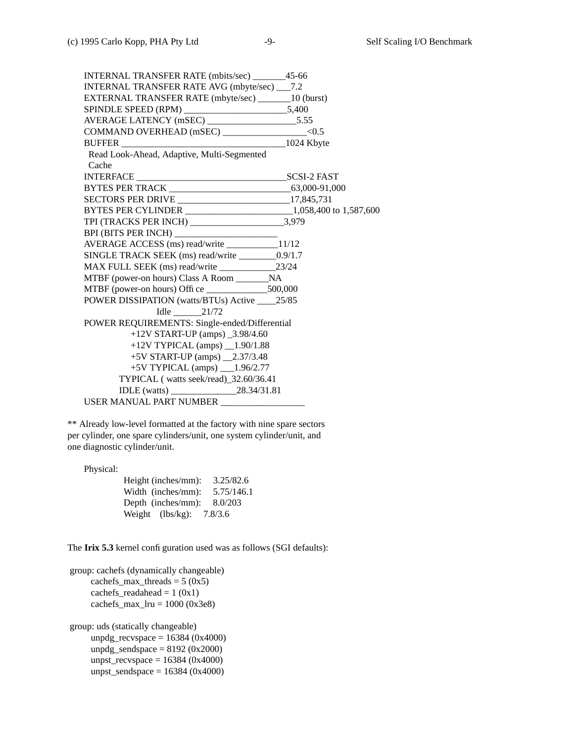INTERNAL TRANSFER RATE (mbits/sec) \_\_\_\_\_\_\_45-66 INTERNAL TRANSFER RATE AVG (mbyte/sec) \_\_\_7.2 EXTERNAL TRANSFER RATE (mbyte/sec) \_\_\_\_\_\_\_10 (burst) SPINDLE SPEED (RPM) \_\_\_\_\_\_\_\_\_\_\_\_\_\_\_\_\_\_\_\_\_\_5,400 AVERAGE LATENCY (mSEC) \_\_\_\_\_\_\_\_\_\_\_\_\_\_\_\_\_\_\_5.55 COMMAND OVERHEAD (mSEC) \_\_\_\_\_\_\_\_\_\_\_\_\_\_\_\_\_\_<0.5 BUFFER \_\_\_\_\_\_\_\_\_\_\_\_\_\_\_\_\_\_\_\_\_\_\_\_\_\_\_\_\_\_\_\_\_\_\_1024 Kbyte Read Look-Ahead, Adaptive, Multi-Segmented Cache INTERFACE \_\_\_\_\_\_\_\_\_\_\_\_\_\_\_\_\_\_\_\_\_\_\_\_\_\_\_\_\_\_\_\_SCSI-2 FAST BYTES PER TRACK \_\_\_\_\_\_\_\_\_\_\_\_\_\_\_\_\_\_\_\_\_\_\_\_\_\_63,000-91,000 SECTORS PER DRIVE \_\_\_\_\_\_\_\_\_\_\_\_\_\_\_\_\_\_\_\_\_\_\_\_17,845,731 BYTES PER CYLINDER \_\_\_\_\_\_\_\_\_\_\_\_\_\_\_\_\_\_\_\_\_\_\_1,058,400 to 1,587,600 TPI (TRACKS PER INCH) \_\_\_\_\_\_\_\_\_\_\_\_\_\_\_\_\_\_\_\_3,979 BPI (BITS PER INCH) \_\_\_\_\_\_\_\_\_\_\_\_\_\_\_\_\_\_\_\_\_\_ AVERAGE ACCESS (ms) read/write \_\_\_\_\_\_\_\_\_\_\_11/12 SINGLE TRACK SEEK (ms) read/write \_\_\_\_\_\_\_\_0.9/1.7 MAX FULL SEEK (ms) read/write \_\_\_\_\_\_\_\_\_\_\_\_23/24 MTBF (power-on hours) Class A Room \_\_\_\_\_\_\_NA MTBF (power-on hours) Office \_\_\_\_\_\_\_\_\_\_\_\_\_500,000 POWER DISSIPATION (watts/BTUs) Active \_\_\_\_25/85 Idle \_\_\_\_\_\_21/72 POWER REQUIREMENTS: Single-ended/Differential +12V START-UP (amps) \_3.98/4.60 +12V TYPICAL (amps) \_\_1.90/1.88 +5V START-UP (amps) \_\_2.37/3.48  $+5V$  TYPICAL (amps)  $1.96/2.77$ TYPICAL ( watts seek/read)\_32.60/36.41 IDLE (watts) \_\_\_\_\_\_\_\_\_\_\_\_\_\_28.34/31.81 USER MANUAL PART NUMBER \_\_\_\_\_\_\_\_\_\_\_\_\_\_\_\_\_\_

\*\* Already low-level formatted at the factory with nine spare sectors per cylinder, one spare cylinders/unit, one system cylinder/unit, and one diagnostic cylinder/unit.

Physical:

| Height (inches/mm): | 3.25/82.6  |
|---------------------|------------|
| Width (inches/mm):  | 5.75/146.1 |
| Depth (inches/mm):  | 8.0/203    |
| Weight $(lbs/kg)$ : | 7.8/3.6    |

The **Irix 5.3** kernel configuration used was as follows (SGI defaults):

```
group: cachefs (dynamically changeable)
    cachefs max threads = 5 (0x5)cachefs_readahead = 1 (0x1)cachefs max Iru = 1000 (0x3e8)
```
group: uds (statically changeable) unpdg\_recvspace =  $16384 (0x4000)$ unpdg\_sendspace  $= 8192$  (0x2000) unpst\_recvspace =  $16384 (0x4000)$ unpst\_sendspace =  $16384$  (0x4000)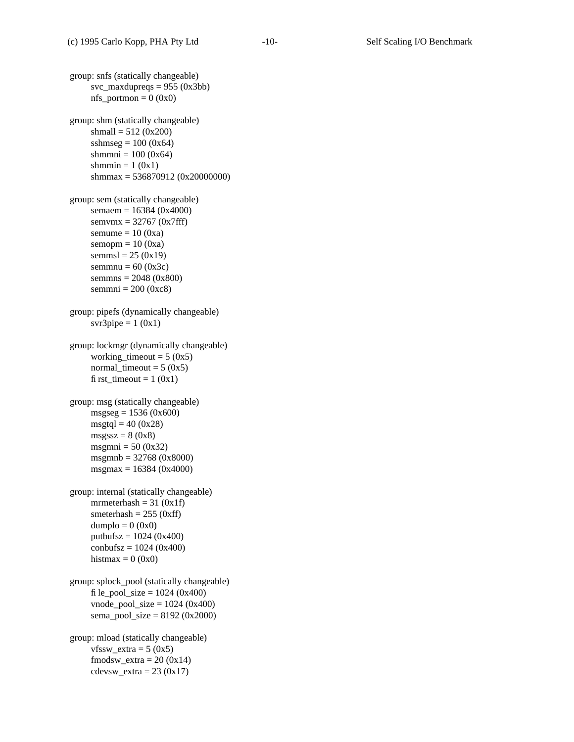group: snfs (statically changeable) svc\_maxdupreqs =  $955 (0x3bb)$  $nfs\_portmon = 0 (0x0)$ group: shm (statically changeable) shmall =  $512 (0x200)$ sshmseg =  $100 (0x64)$ shmmni =  $100 (0x64)$ shmmin =  $1(0x1)$ shmmax = 536870912 (0x20000000) group: sem (statically changeable) semaem = 16384 (0x4000) semvmx = 32767 (0x7fff) semume  $= 10 (0xa)$ semopm  $= 10 (0xa)$ semmsl =  $25 (0x19)$ semmnu =  $60 (0x3c)$ semmns = 2048 (0x800) semmni =  $200 (0xc8)$ group: pipefs (dynamically changeable) svr3pipe =  $1(0x1)$ group: lockmgr (dynamically changeable) working\_timeout =  $5 (0x5)$ normal timeout =  $5 (0x5)$ first\_timeout =  $1 (0x1)$ group: msg (statically changeable)  $msgseg = 1536 (0x600)$  $msgtql = 40 (0x28)$  $msgssz = 8(0x8)$ msgmni =  $50 (0x32)$ msgmnb = 32768 (0x8000) msgmax = 16384 (0x4000) group: internal (statically changeable) mrmeterhash =  $31 (0x1f)$ smeterhash  $= 255$  (0xff)  $dumplo = 0 (0x0)$ putbufsz =  $1024 (0x400)$  $\text{combufsz} = 1024 \, (0x400)$ histmax =  $0 (0x0)$ group: splock\_pool (statically changeable) file\_pool\_size =  $1024 (0x400)$  $vnode\_pool\_size = 1024 (0x400)$ sema\_pool\_size =  $8192 (0x2000)$ group: mload (statically changeable)  $vfssw\_extra = 5 (0x5)$ fmodsw  $extra = 20 (0x14)$  $cdevsw\_extra = 23 (0x17)$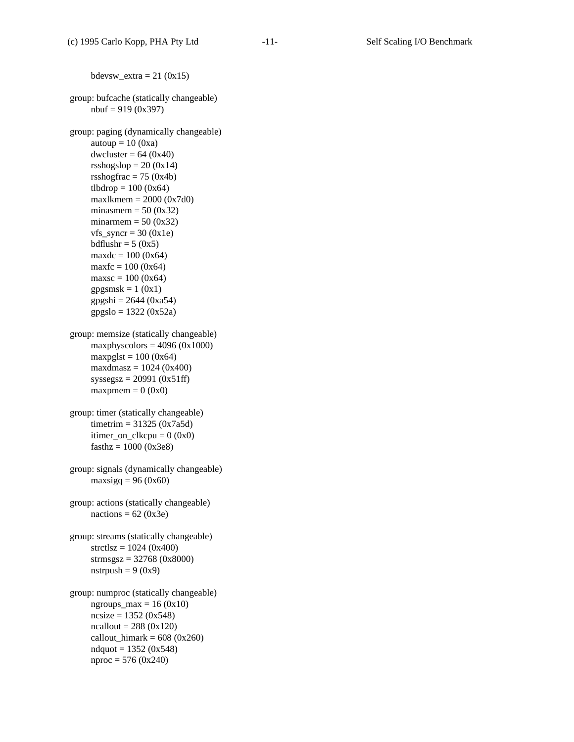```
bdevsw_extra = 21 (0x15)group: bufcache (statically changeable)
     n \text{buf} = 919 (0x397)group: paging (dynamically changeable)
     autoup = 10 (0xa)dwcluster = 64 (0x40)rsshogslop = 20 (0x14)rsshogfrac = 75 (0x4b)tlbdrop = 100 (0x64)maxlkmem = 2000 (0x7d0)minasmem = 50 (0x32)minarmem = 50 (0x32)vfs\_syncr = 30 (0x1e)bdflushr = 5(0x5)maxdc = 100 (0x64)maxfc = 100 (0x64)maxsc = 100 (0x64)gpgsmsk = 1 (0x1)gpgshi = 2644 (0xa54)gpgslo = 1322 (0x52a)group: memsize (statically changeable)
     maxphyscolors = 4096 (0x1000)maxpglst = 100 (0x64)maxdmaxdmasz = 1024 (0x400)
     syssegsz = 20991 (0x51ff)maxpmem = 0 (0x0)group: timer (statically changeable)
     tim_{\text{eff}} = 31325 (0x7a5d)itimer_on_clkcpu = 0 (0x0)fasthz = 1000 (0x3e8)group: signals (dynamically changeable)
     maxsigq = 96 (0x60)group: actions (statically changeable)
     nactions = 62 (0x3e)
group: streams (statically changeable)
     stretlsz = 1024 (0x400)strmsgsz = 32768 (0x8000)
     nstrpush = 9(0x9)group: numproc (statically changeable)
     ngroups_max = 16 (0x10)ncsize = 1352 (0x548)ncallout = 288 (0x120)callout_himark = 608 (0x260)ndquot = 1352 (0x548)nproc = 576 (0x240)
```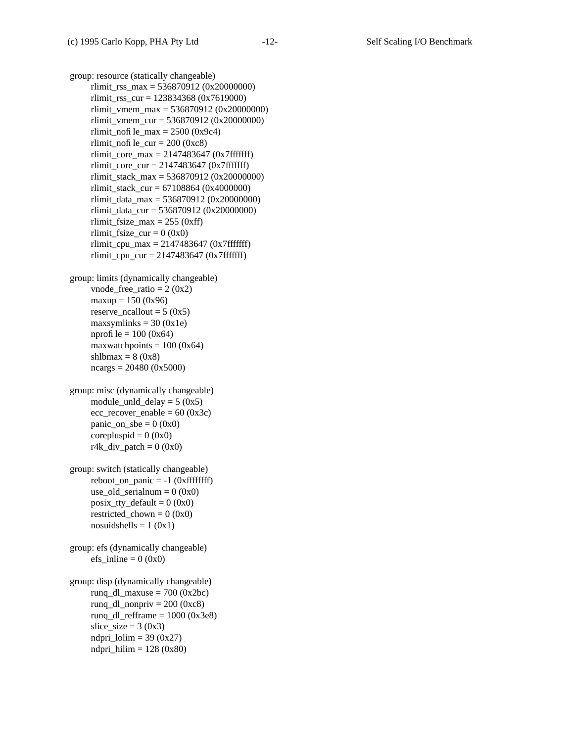group: resource (statically changeable) rlimit\_rss\_max = 536870912 (0x20000000) rlimit\_rss\_cur = 123834368 (0x7619000) rlimit\_vmem\_max =  $536870912$  (0x20000000) rlimit\_vmem\_cur =  $536870912$  (0x20000000) rlimit\_nofile\_max =  $2500 (0x9c4)$ rlimit\_nofile\_cur =  $200$  (0xc8) rlimit\_core\_max = 2147483647 (0x7fffffff) rlimit\_core\_cur =  $2147483647$  (0x7fffffff) rlimit\_stack\_max = 536870912 (0x20000000) rlimit\_stack\_cur = 67108864 (0x4000000) rlimit\_data\_max = 536870912 (0x20000000) rlimit\_data\_cur = 536870912 (0x20000000) rlimit\_fsize\_max =  $255$  (0xff) rlimit\_fsize\_cur =  $0 (0x0)$ rlimit cpu max  $= 2147483647$  (0x7fffffff) rlimit\_cpu\_cur =  $2147483647$  (0x7fffffff) group: limits (dynamically changeable)

vnode\_free\_ratio =  $2 (0x2)$ maxup =  $150 (0x96)$ reserve  $ncallout = 5 (0x5)$ maxsymlinks =  $30 (0x1e)$ nprofile =  $100 (0x64)$ maxwatchpoints  $= 100 (0x64)$ shlbmax =  $8 (0x8)$  $ncargs = 20480 (0x5000)$ 

group: misc (dynamically changeable) module\_unld\_delay =  $5 (0x5)$  $ecc\_recover\_enable = 60 (0x3c)$ panic\_on\_sbe =  $0 (0x0)$ corepluspid  $= 0$  (0x0)  $r4k\_div\_patch = 0$  (0x0)

group: switch (statically changeable)  $reboot\_on\_panic = -1$  (0xfffffffff) use old serialnum =  $0 (0x0)$  $posix_tty_default = 0 (0x0)$ restricted chown =  $0 (0x0)$ nosuidshells =  $1 (0x1)$ 

group: efs (dynamically changeable) efs inline  $= 0$  (0x0)

group: disp (dynamically changeable) runq\_dl\_maxuse =  $700 (0x2bc)$ runq\_dl\_nonpriv =  $200$  (0xc8) rung dl refframe  $= 1000$  (0x3e8) slice\_size =  $3 (0x3)$ ndpri  $1$ olim = 39 (0x27) ndpri\_hilim  $= 128 (0x80)$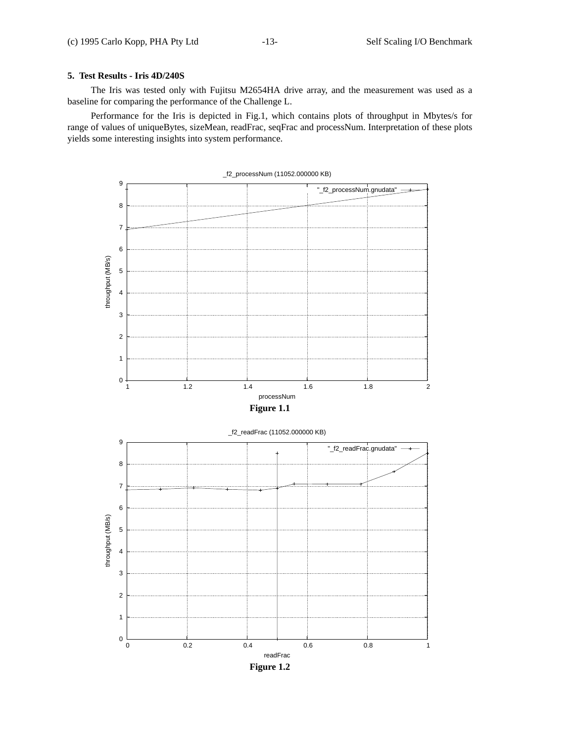# **5. Test Results - Iris 4D/240S**

The Iris was tested only with Fujitsu M2654HA drive array, and the measurement was used as a baseline for comparing the performance of the Challenge L.

Performance for the Iris is depicted in Fig.1, which contains plots of throughput in Mbytes/s for range of values of uniqueBytes, sizeMean, readFrac, seqFrac and processNum. Interpretation of these plots yields some interesting insights into system performance.

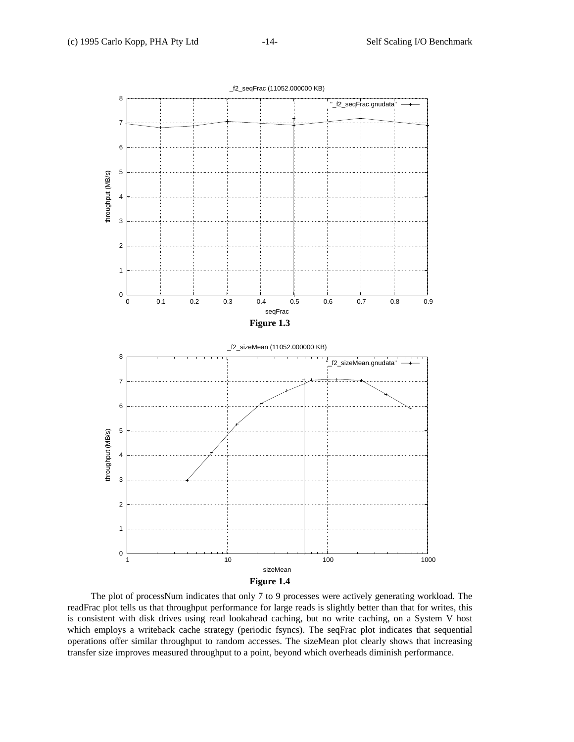

The plot of processNum indicates that only 7 to 9 processes were actively generating workload. The readFrac plot tells us that throughput performance for large reads is slightly better than that for writes, this is consistent with disk drives using read lookahead caching, but no write caching, on a System V host which employs a writeback cache strategy (periodic fsyncs). The seqFrac plot indicates that sequential operations offer similar throughput to random accesses. The sizeMean plot clearly shows that increasing transfer size improves measured throughput to a point, beyond which overheads diminish performance.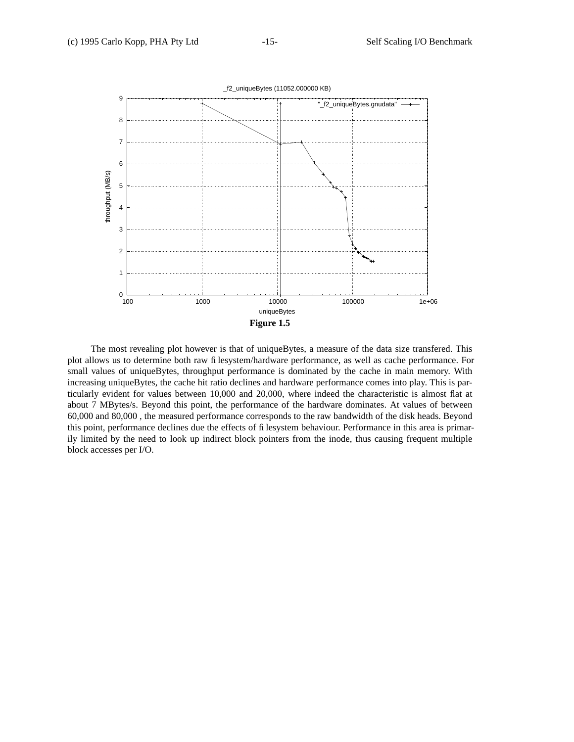

The most revealing plot however is that of uniqueBytes, a measure of the data size transfered. This plot allows us to determine both raw filesystem/hardware performance, as well as cache performance. For small values of uniqueBytes, throughput performance is dominated by the cache in main memory. With increasing uniqueBytes, the cache hit ratio declines and hardware performance comes into play. This is particularly evident for values between 10,000 and 20,000, where indeed the characteristic is almost flat at about 7 MBytes/s. Beyond this point, the performance of the hardware dominates. At values of between 60,000 and 80,000 , the measured performance corresponds to the raw bandwidth of the disk heads. Beyond this point, performance declines due the effects of filesystem behaviour. Performance in this area is primarily limited by the need to look up indirect block pointers from the inode, thus causing frequent multiple block accesses per I/O.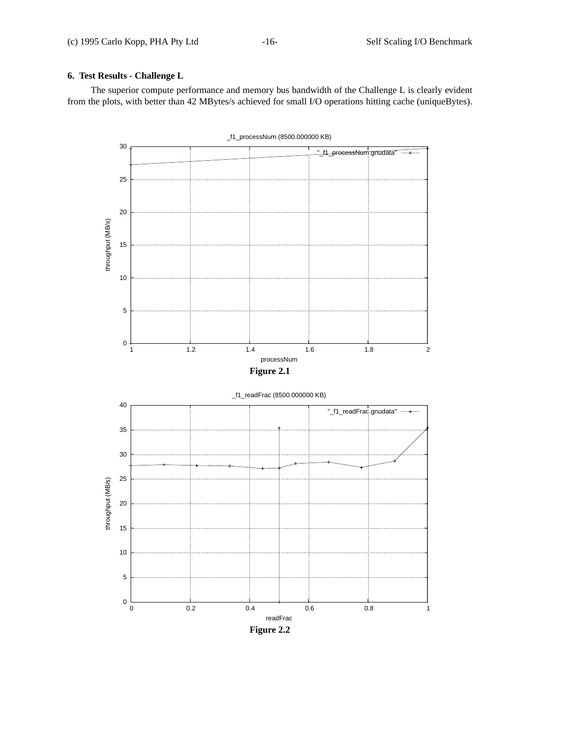# **6. Test Results - Challenge L**

The superior compute performance and memory bus bandwidth of the Challenge L is clearly evident from the plots, with better than 42 MBytes/s achieved for small I/O operations hitting cache (uniqueBytes).

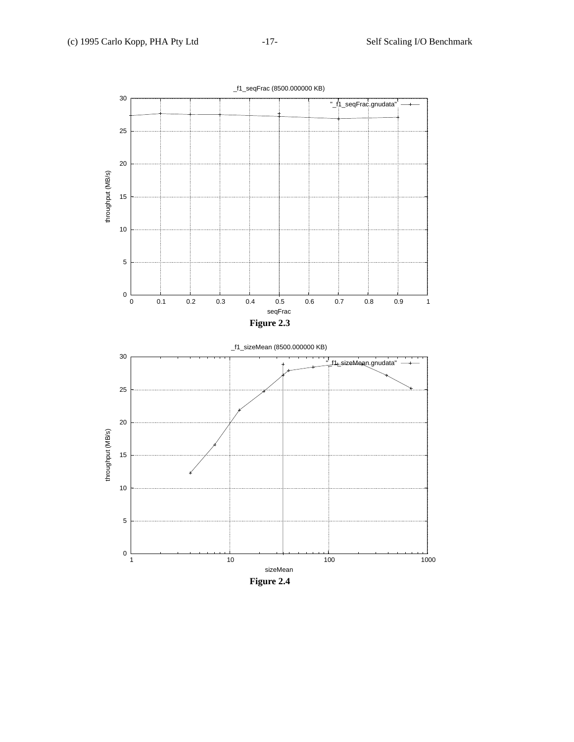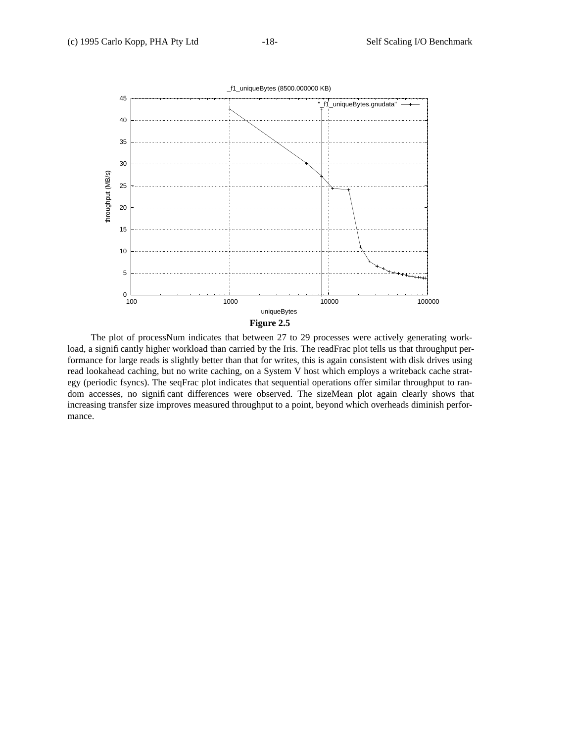

The plot of processNum indicates that between 27 to 29 processes were actively generating workload, a significantly higher workload than carried by the Iris. The readFrac plot tells us that throughput performance for large reads is slightly better than that for writes, this is again consistent with disk drives using read lookahead caching, but no write caching, on a System V host which employs a writeback cache strategy (periodic fsyncs). The seqFrac plot indicates that sequential operations offer similar throughput to random accesses, no significant differences were observed. The sizeMean plot again clearly shows that increasing transfer size improves measured throughput to a point, beyond which overheads diminish performance.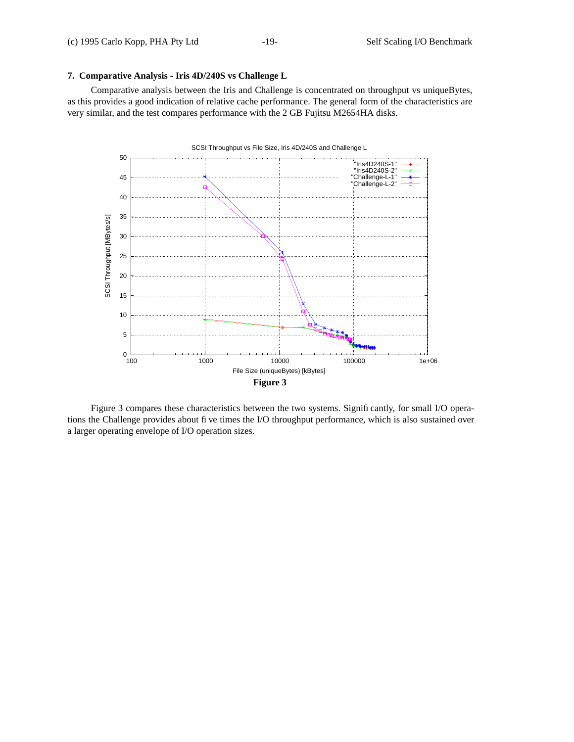# **7. Comparative Analysis - Iris 4D/240S vs Challenge L**

Comparative analysis between the Iris and Challenge is concentrated on throughput vs uniqueBytes, as this provides a good indication of relative cache performance. The general form of the characteristics are very similar, and the test compares performance with the 2 GB Fujitsu M2654HA disks.



Figure 3 compares these characteristics between the two systems. Significantly, for small I/O operations the Challenge provides about five times the I/O throughput performance, which is also sustained over a larger operating envelope of I/O operation sizes.